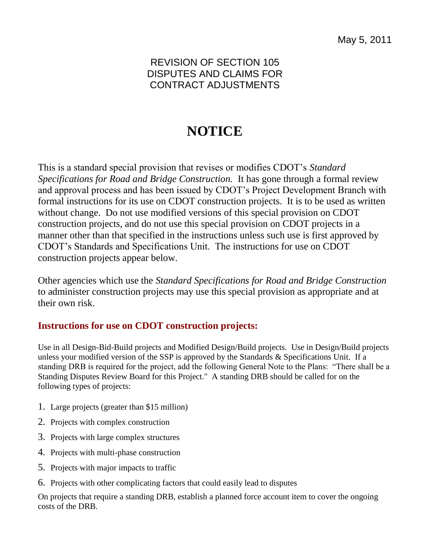# **NOTICE**

This is a standard special provision that revises or modifies CDOT's *Standard Specifications for Road and Bridge Construction.* It has gone through a formal review and approval process and has been issued by CDOT's Project Development Branch with formal instructions for its use on CDOT construction projects. It is to be used as written without change. Do not use modified versions of this special provision on CDOT construction projects, and do not use this special provision on CDOT projects in a manner other than that specified in the instructions unless such use is first approved by CDOT's Standards and Specifications Unit. The instructions for use on CDOT construction projects appear below.

Other agencies which use the *Standard Specifications for Road and Bridge Construction* to administer construction projects may use this special provision as appropriate and at their own risk.

## **Instructions for use on CDOT construction projects:**

Use in all Design-Bid-Build projects and Modified Design/Build projects. Use in Design/Build projects unless your modified version of the SSP is approved by the Standards  $\&$  Specifications Unit. If a standing DRB is required for the project, add the following General Note to the Plans: "There shall be a Standing Disputes Review Board for this Project." A standing DRB should be called for on the following types of projects:

- 1. Large projects (greater than \$15 million)
- 2. Projects with complex construction
- 3. Projects with large complex structures
- 4. Projects with multi-phase construction
- 5. Projects with major impacts to traffic
- 6. Projects with other complicating factors that could easily lead to disputes

On projects that require a standing DRB, establish a planned force account item to cover the ongoing costs of the DRB.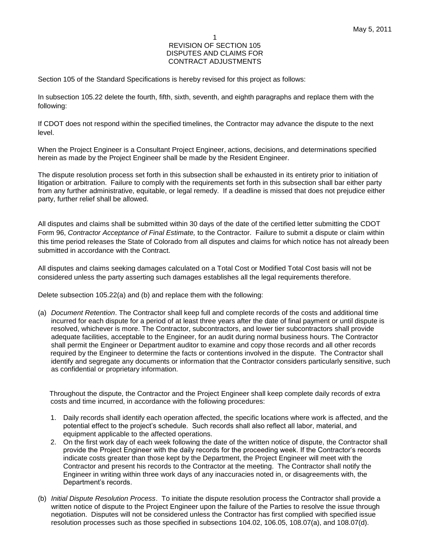Section 105 of the Standard Specifications is hereby revised for this project as follows:

In subsection 105.22 delete the fourth, fifth, sixth, seventh, and eighth paragraphs and replace them with the following:

If CDOT does not respond within the specified timelines, the Contractor may advance the dispute to the next level.

When the Project Engineer is a Consultant Project Engineer, actions, decisions, and determinations specified herein as made by the Project Engineer shall be made by the Resident Engineer.

The dispute resolution process set forth in this subsection shall be exhausted in its entirety prior to initiation of litigation or arbitration. Failure to comply with the requirements set forth in this subsection shall bar either party from any further administrative, equitable, or legal remedy. If a deadline is missed that does not prejudice either party, further relief shall be allowed.

All disputes and claims shall be submitted within 30 days of the date of the certified letter submitting the CDOT Form 96, *Contractor Acceptance of Final Estimate,* to the Contractor. Failure to submit a dispute or claim within this time period releases the State of Colorado from all disputes and claims for which notice has not already been submitted in accordance with the Contract.

All disputes and claims seeking damages calculated on a Total Cost or Modified Total Cost basis will not be considered unless the party asserting such damages establishes all the legal requirements therefore.

Delete subsection 105.22(a) and (b) and replace them with the following:

(a) *Document Retention*. The Contractor shall keep full and complete records of the costs and additional time incurred for each dispute for a period of at least three years after the date of final payment or until dispute is resolved, whichever is more. The Contractor, subcontractors, and lower tier subcontractors shall provide adequate facilities, acceptable to the Engineer, for an audit during normal business hours. The Contractor shall permit the Engineer or Department auditor to examine and copy those records and all other records required by the Engineer to determine the facts or contentions involved in the dispute. The Contractor shall identify and segregate any documents or information that the Contractor considers particularly sensitive, such as confidential or proprietary information.

Throughout the dispute, the Contractor and the Project Engineer shall keep complete daily records of extra costs and time incurred, in accordance with the following procedures:

- 1. Daily records shall identify each operation affected, the specific locations where work is affected, and the potential effect to the project's schedule. Such records shall also reflect all labor, material, and equipment applicable to the affected operations.
- 2. On the first work day of each week following the date of the written notice of dispute, the Contractor shall provide the Project Engineer with the daily records for the proceeding week. If the Contractor's records indicate costs greater than those kept by the Department, the Project Engineer will meet with the Contractor and present his records to the Contractor at the meeting. The Contractor shall notify the Engineer in writing within three work days of any inaccuracies noted in, or disagreements with, the Department's records.
- (b) *Initial Dispute Resolution Process*. To initiate the dispute resolution process the Contractor shall provide a written notice of dispute to the Project Engineer upon the failure of the Parties to resolve the issue through negotiation. Disputes will not be considered unless the Contractor has first complied with specified issue resolution processes such as those specified in subsections 104.02, 106.05, 108.07(a), and 108.07(d).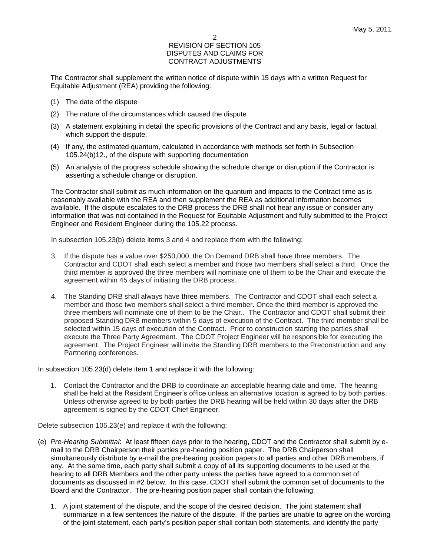The Contractor shall supplement the written notice of dispute within 15 days with a written Request for Equitable Adjustment (REA) providing the following:

- (1) The date of the dispute
- (2) The nature of the circumstances which caused the dispute
- (3) A statement explaining in detail the specific provisions of the Contract and any basis, legal or factual, which support the dispute.
- (4) If any, the estimated quantum, calculated in accordance with methods set forth in Subsection 105.24(b)12., of the dispute with supporting documentation
- (5) An analysis of the progress schedule showing the schedule change or disruption if the Contractor is asserting a schedule change or disruption.

The Contractor shall submit as much information on the quantum and impacts to the Contract time as is reasonably available with the REA and then supplement the REA as additional information becomes available. If the dispute escalates to the DRB process the DRB shall not hear any issue or consider any information that was not contained in the Request for Equitable Adjustment and fully submitted to the Project Engineer and Resident Engineer during the 105.22 process.

In subsection 105.23(b) delete items 3 and 4 and replace them with the following:

- 3. If the dispute has a value over \$250,000, the On Demand DRB shall have three members. The Contractor and CDOT shall each select a member and those two members shall select a third. Once the third member is approved the three members will nominate one of them to be the Chair and execute the agreement within 45 days of initiating the DRB process.
- 4. The Standing DRB shall always have three members. The Contractor and CDOT shall each select a member and those two members shall select a third member. Once the third member is approved the three members will nominate one of them to be the Chair.. The Contractor and CDOT shall submit their proposed Standing DRB members within 5 days of execution of the Contract. The third member shall be selected within 15 days of execution of the Contract. Prior to construction starting the parties shall execute the Three Party Agreement. The CDOT Project Engineer will be responsible for executing the agreement. The Project Engineer will invite the Standing DRB members to the Preconstruction and any Partnering conferences.

In subsection 105.23(d) delete item 1 and replace it with the following:

1. Contact the Contractor and the DRB to coordinate an acceptable hearing date and time. The hearing shall be held at the Resident Engineer's office unless an alternative location is agreed to by both parties. Unless otherwise agreed to by both parties the DRB hearing will be held within 30 days after the DRB agreement is signed by the CDOT Chief Engineer.

Delete subsection 105.23(e) and replace it with the following:

- (e) *Pre-Hearing Submittal*: At least fifteen days prior to the hearing, CDOT and the Contractor shall submit by email to the DRB Chairperson their parties pre-hearing position paper. The DRB Chairperson shall simultaneously distribute by e-mail the pre-hearing position papers to all parties and other DRB members, if any. At the same time, each party shall submit a copy of all its supporting documents to be used at the hearing to all DRB Members and the other party unless the parties have agreed to a common set of documents as discussed in #2 below. In this case, CDOT shall submit the common set of documents to the Board and the Contractor. The pre-hearing position paper shall contain the following:
	- 1. A joint statement of the dispute, and the scope of the desired decision. The joint statement shall summarize in a few sentences the nature of the dispute. If the parties are unable to agree on the wording of the joint statement, each party's position paper shall contain both statements, and identify the party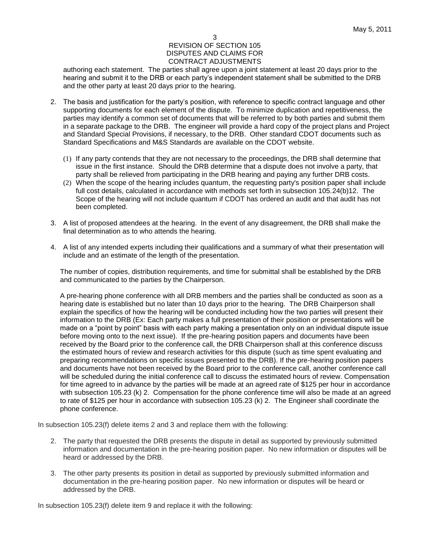authoring each statement. The parties shall agree upon a joint statement at least 20 days prior to the hearing and submit it to the DRB or each party's independent statement shall be submitted to the DRB and the other party at least 20 days prior to the hearing.

- 2. The basis and justification for the party's position, with reference to specific contract language and other supporting documents for each element of the dispute. To minimize duplication and repetitiveness, the parties may identify a common set of documents that will be referred to by both parties and submit them in a separate package to the DRB. The engineer will provide a hard copy of the project plans and Project and Standard Special Provisions, if necessary, to the DRB. Other standard CDOT documents such as Standard Specifications and M&S Standards are available on the CDOT website.
	- (1) If any party contends that they are not necessary to the proceedings, the DRB shall determine that issue in the first instance. Should the DRB determine that a dispute does not involve a party, that party shall be relieved from participating in the DRB hearing and paying any further DRB costs.
	- (2) When the scope of the hearing includes quantum, the requesting party's position paper shall include full cost details, calculated in accordance with methods set forth in subsection 105.24(b)12. The Scope of the hearing will not include quantum if CDOT has ordered an audit and that audit has not been completed.
- 3. A list of proposed attendees at the hearing. In the event of any disagreement, the DRB shall make the final determination as to who attends the hearing.
- 4. A list of any intended experts including their qualifications and a summary of what their presentation will include and an estimate of the length of the presentation.

The number of copies, distribution requirements, and time for submittal shall be established by the DRB and communicated to the parties by the Chairperson.

A pre-hearing phone conference with all DRB members and the parties shall be conducted as soon as a hearing date is established but no later than 10 days prior to the hearing. The DRB Chairperson shall explain the specifics of how the hearing will be conducted including how the two parties will present their information to the DRB (Ex: Each party makes a full presentation of their position or presentations will be made on a "point by point" basis with each party making a presentation only on an individual dispute issue before moving onto to the next issue). If the pre-hearing position papers and documents have been received by the Board prior to the conference call, the DRB Chairperson shall at this conference discuss the estimated hours of review and research activities for this dispute (such as time spent evaluating and preparing recommendations on specific issues presented to the DRB). If the pre-hearing position papers and documents have not been received by the Board prior to the conference call, another conference call will be scheduled during the initial conference call to discuss the estimated hours of review. Compensation for time agreed to in advance by the parties will be made at an agreed rate of \$125 per hour in accordance with subsection 105.23 (k) 2. Compensation for the phone conference time will also be made at an agreed to rate of \$125 per hour in accordance with subsection 105.23 (k) 2. The Engineer shall coordinate the phone conference.

In subsection 105.23(f) delete items 2 and 3 and replace them with the following:

- 2. The party that requested the DRB presents the dispute in detail as supported by previously submitted information and documentation in the pre-hearing position paper. No new information or disputes will be heard or addressed by the DRB.
- 3. The other party presents its position in detail as supported by previously submitted information and documentation in the pre-hearing position paper. No new information or disputes will be heard or addressed by the DRB.

In subsection 105.23(f) delete item 9 and replace it with the following: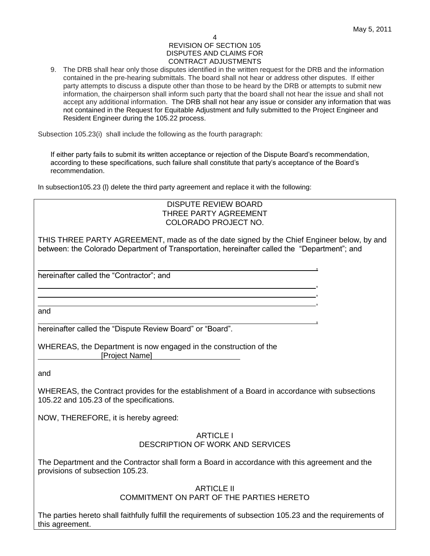, , ,

,

#### 4 REVISION OF SECTION 105 DISPUTES AND CLAIMS FOR CONTRACT ADJUSTMENTS

9. The DRB shall hear only those disputes identified in the written request for the DRB and the information contained in the pre-hearing submittals. The board shall not hear or address other disputes. If either party attempts to discuss a dispute other than those to be heard by the DRB or attempts to submit new information, the chairperson shall inform such party that the board shall not hear the issue and shall not accept any additional information. The DRB shall not hear any issue or consider any information that was not contained in the Request for Equitable Adjustment and fully submitted to the Project Engineer and Resident Engineer during the 105.22 process.

Subsection 105.23(i) shall include the following as the fourth paragraph:

If either party fails to submit its written acceptance or rejection of the Dispute Board's recommendation, according to these specifications, such failure shall constitute that party's acceptance of the Board's recommendation.

In subsection105.23 (l) delete the third party agreement and replace it with the following:

<u>, and the contract of the contract of the contract of the contract of the contract of the contract of the con</u>

## DISPUTE REVIEW BOARD THREE PARTY AGREEMENT COLORADO PROJECT NO.

THIS THREE PARTY AGREEMENT, made as of the date signed by the Chief Engineer below, by and between: the Colorado Department of Transportation, hereinafter called the "Department"; and

hereinafter called the "Contractor"; and

and

hereinafter called the "Dispute Review Board" or "Board".

WHEREAS, the Department is now engaged in the construction of the [Project Name]

and

WHEREAS, the Contract provides for the establishment of a Board in accordance with subsections 105.22 and 105.23 of the specifications.

NOW, THEREFORE, it is hereby agreed:

## ARTICLE I DESCRIPTION OF WORK AND SERVICES

The Department and the Contractor shall form a Board in accordance with this agreement and the provisions of subsection 105.23.

> ARTICLE II COMMITMENT ON PART OF THE PARTIES HERETO

The parties hereto shall faithfully fulfill the requirements of subsection 105.23 and the requirements of this agreement.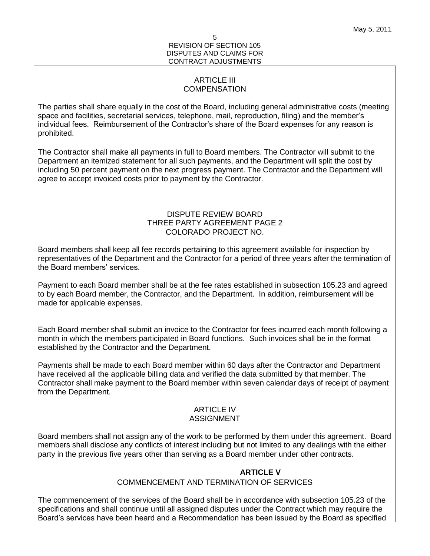## ARTICLE III **COMPENSATION**

The parties shall share equally in the cost of the Board, including general administrative costs (meeting space and facilities, secretarial services, telephone, mail, reproduction, filing) and the member's individual fees. Reimbursement of the Contractor's share of the Board expenses for any reason is prohibited.

The Contractor shall make all payments in full to Board members. The Contractor will submit to the Department an itemized statement for all such payments, and the Department will split the cost by including 50 percent payment on the next progress payment. The Contractor and the Department will agree to accept invoiced costs prior to payment by the Contractor.

## DISPUTE REVIEW BOARD THREE PARTY AGREEMENT PAGE 2 COLORADO PROJECT NO.

Board members shall keep all fee records pertaining to this agreement available for inspection by representatives of the Department and the Contractor for a period of three years after the termination of the Board members' services.

Payment to each Board member shall be at the fee rates established in subsection 105.23 and agreed to by each Board member, the Contractor, and the Department. In addition, reimbursement will be made for applicable expenses.

Each Board member shall submit an invoice to the Contractor for fees incurred each month following a month in which the members participated in Board functions. Such invoices shall be in the format established by the Contractor and the Department.

Payments shall be made to each Board member within 60 days after the Contractor and Department have received all the applicable billing data and verified the data submitted by that member. The Contractor shall make payment to the Board member within seven calendar days of receipt of payment from the Department.

## ARTICLE IV ASSIGNMENT

Board members shall not assign any of the work to be performed by them under this agreement. Board members shall disclose any conflicts of interest including but not limited to any dealings with the either party in the previous five years other than serving as a Board member under other contracts.

## **ARTICLE V**

## COMMENCEMENT AND TERMINATION OF SERVICES

The commencement of the services of the Board shall be in accordance with subsection 105.23 of the specifications and shall continue until all assigned disputes under the Contract which may require the Board's services have been heard and a Recommendation has been issued by the Board as specified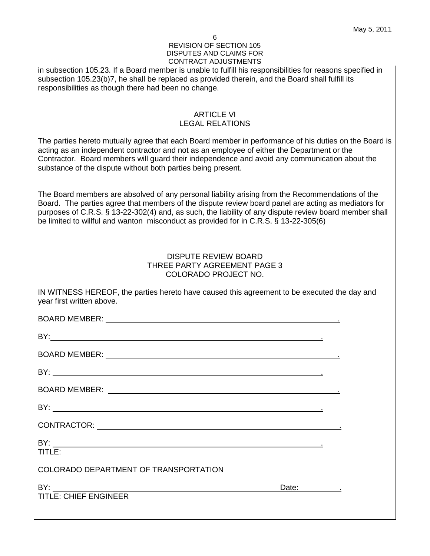in subsection 105.23. If a Board member is unable to fulfill his responsibilities for reasons specified in subsection 105.23(b)7, he shall be replaced as provided therein, and the Board shall fulfill its responsibilities as though there had been no change.

## ARTICLE VI LEGAL RELATIONS

The parties hereto mutually agree that each Board member in performance of his duties on the Board is acting as an independent contractor and not as an employee of either the Department or the Contractor. Board members will guard their independence and avoid any communication about the substance of the dispute without both parties being present.

The Board members are absolved of any personal liability arising from the Recommendations of the Board. The parties agree that members of the dispute review board panel are acting as mediators for purposes of C.R.S. § 13-22-302(4) and, as such, the liability of any dispute review board member shall be limited to willful and wanton misconduct as provided for in C.R.S. § 13-22-305(6)

## DISPUTE REVIEW BOARD THREE PARTY AGREEMENT PAGE 3 COLORADO PROJECT NO.

IN WITNESS HEREOF, the parties hereto have caused this agreement to be executed the day and year first written above.

| BY:                                   |             |  |
|---------------------------------------|-------------|--|
|                                       |             |  |
|                                       |             |  |
|                                       |             |  |
| BY:                                   |             |  |
| TITLE:                                |             |  |
| COLORADO DEPARTMENT OF TRANSPORTATION |             |  |
|                                       | Date: 1997. |  |
| <b>TITLE: CHIEF ENGINEER</b>          |             |  |
|                                       |             |  |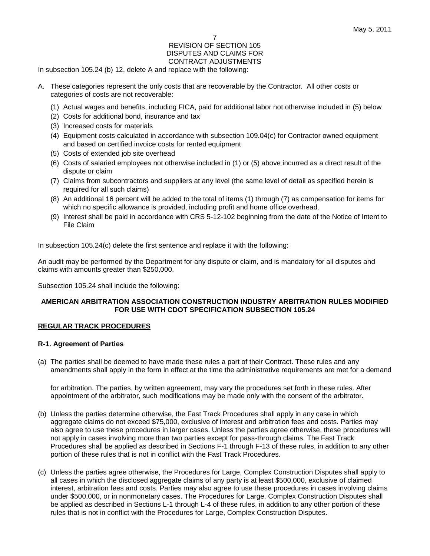In subsection 105.24 (b) 12, delete A and replace with the following:

- A. These categories represent the only costs that are recoverable by the Contractor. All other costs or categories of costs are not recoverable:
	- (1) Actual wages and benefits, including FICA, paid for additional labor not otherwise included in (5) below
	- (2) Costs for additional bond, insurance and tax
	- (3) Increased costs for materials
	- (4) Equipment costs calculated in accordance with subsection 109.04(c) for Contractor owned equipment and based on certified invoice costs for rented equipment
	- (5) Costs of extended job site overhead
	- (6) Costs of salaried employees not otherwise included in (1) or (5) above incurred as a direct result of the dispute or claim
	- (7) Claims from subcontractors and suppliers at any level (the same level of detail as specified herein is required for all such claims)
	- (8) An additional 16 percent will be added to the total of items (1) through (7) as compensation for items for which no specific allowance is provided, including profit and home office overhead.
	- (9) Interest shall be paid in accordance with CRS 5-12-102 beginning from the date of the Notice of Intent to File Claim

In subsection 105.24(c) delete the first sentence and replace it with the following:

An audit may be performed by the Department for any dispute or claim, and is mandatory for all disputes and claims with amounts greater than \$250,000.

Subsection 105.24 shall include the following:

## **AMERICAN ARBITRATION ASSOCIATION CONSTRUCTION INDUSTRY ARBITRATION RULES MODIFIED FOR USE WITH CDOT SPECIFICATION SUBSECTION 105.24**

## **REGULAR TRACK PROCEDURES**

#### **R-1. Agreement of Parties**

(a) The parties shall be deemed to have made these rules a part of their Contract. These rules and any amendments shall apply in the form in effect at the time the administrative requirements are met for a demand

for arbitration. The parties, by written agreement, may vary the procedures set forth in these rules. After appointment of the arbitrator, such modifications may be made only with the consent of the arbitrator.

- (b) Unless the parties determine otherwise, the Fast Track Procedures shall apply in any case in which aggregate claims do not exceed \$75,000, exclusive of interest and arbitration fees and costs. Parties may also agree to use these procedures in larger cases. Unless the parties agree otherwise, these procedures will not apply in cases involving more than two parties except for pass-through claims. The Fast Track Procedures shall be applied as described in Sections F-1 through F-13 of these rules, in addition to any other portion of these rules that is not in conflict with the Fast Track Procedures.
- (c) Unless the parties agree otherwise, the Procedures for Large, Complex Construction Disputes shall apply to all cases in which the disclosed aggregate claims of any party is at least \$500,000, exclusive of claimed interest, arbitration fees and costs. Parties may also agree to use these procedures in cases involving claims under \$500,000, or in nonmonetary cases. The Procedures for Large, Complex Construction Disputes shall be applied as described in Sections L-1 through L-4 of these rules, in addition to any other portion of these rules that is not in conflict with the Procedures for Large, Complex Construction Disputes.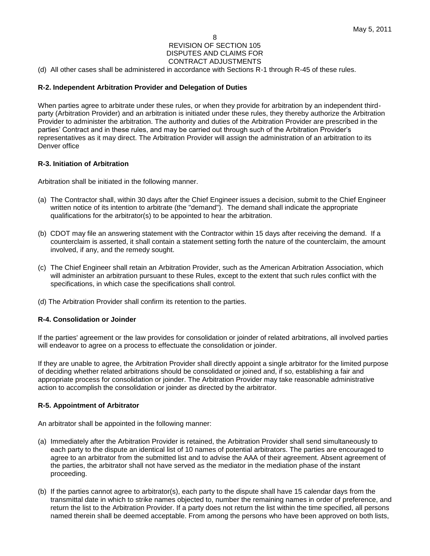(d) All other cases shall be administered in accordance with Sections R-1 through R-45 of these rules.

## **R-2. Independent Arbitration Provider and Delegation of Duties**

When parties agree to arbitrate under these rules, or when they provide for arbitration by an independent thirdparty (Arbitration Provider) and an arbitration is initiated under these rules, they thereby authorize the Arbitration Provider to administer the arbitration. The authority and duties of the Arbitration Provider are prescribed in the parties' Contract and in these rules, and may be carried out through such of the Arbitration Provider's representatives as it may direct. The Arbitration Provider will assign the administration of an arbitration to its Denver office

#### **R-3. Initiation of Arbitration**

Arbitration shall be initiated in the following manner.

- (a) The Contractor shall, within 30 days after the Chief Engineer issues a decision, submit to the Chief Engineer written notice of its intention to arbitrate (the "demand"). The demand shall indicate the appropriate qualifications for the arbitrator(s) to be appointed to hear the arbitration.
- (b) CDOT may file an answering statement with the Contractor within 15 days after receiving the demand. If a counterclaim is asserted, it shall contain a statement setting forth the nature of the counterclaim, the amount involved, if any, and the remedy sought.
- (c) The Chief Engineer shall retain an Arbitration Provider, such as the American Arbitration Association, which will administer an arbitration pursuant to these Rules, except to the extent that such rules conflict with the specifications, in which case the specifications shall control.
- (d) The Arbitration Provider shall confirm its retention to the parties.

#### **R-4. Consolidation or Joinder**

If the parties' agreement or the law provides for consolidation or joinder of related arbitrations, all involved parties will endeavor to agree on a process to effectuate the consolidation or joinder.

If they are unable to agree, the Arbitration Provider shall directly appoint a single arbitrator for the limited purpose of deciding whether related arbitrations should be consolidated or joined and, if so, establishing a fair and appropriate process for consolidation or joinder. The Arbitration Provider may take reasonable administrative action to accomplish the consolidation or joinder as directed by the arbitrator.

#### **R-5. Appointment of Arbitrator**

An arbitrator shall be appointed in the following manner:

- (a) Immediately after the Arbitration Provider is retained, the Arbitration Provider shall send simultaneously to each party to the dispute an identical list of 10 names of potential arbitrators. The parties are encouraged to agree to an arbitrator from the submitted list and to advise the AAA of their agreement. Absent agreement of the parties, the arbitrator shall not have served as the mediator in the mediation phase of the instant proceeding.
- (b) If the parties cannot agree to arbitrator(s), each party to the dispute shall have 15 calendar days from the transmittal date in which to strike names objected to, number the remaining names in order of preference, and return the list to the Arbitration Provider. If a party does not return the list within the time specified, all persons named therein shall be deemed acceptable. From among the persons who have been approved on both lists,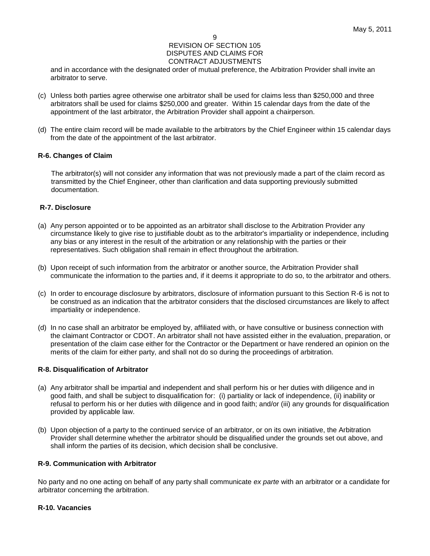and in accordance with the designated order of mutual preference, the Arbitration Provider shall invite an arbitrator to serve.

- (c) Unless both parties agree otherwise one arbitrator shall be used for claims less than \$250,000 and three arbitrators shall be used for claims \$250,000 and greater. Within 15 calendar days from the date of the appointment of the last arbitrator, the Arbitration Provider shall appoint a chairperson.
- (d) The entire claim record will be made available to the arbitrators by the Chief Engineer within 15 calendar days from the date of the appointment of the last arbitrator.

## **R-6. Changes of Claim**

The arbitrator(s) will not consider any information that was not previously made a part of the claim record as transmitted by the Chief Engineer, other than clarification and data supporting previously submitted documentation.

## **R-7. Disclosure**

- (a) Any person appointed or to be appointed as an arbitrator shall disclose to the Arbitration Provider any circumstance likely to give rise to justifiable doubt as to the arbitrator's impartiality or independence, including any bias or any interest in the result of the arbitration or any relationship with the parties or their representatives. Such obligation shall remain in effect throughout the arbitration.
- (b) Upon receipt of such information from the arbitrator or another source, the Arbitration Provider shall communicate the information to the parties and, if it deems it appropriate to do so, to the arbitrator and others.
- (c) In order to encourage disclosure by arbitrators, disclosure of information pursuant to this Section R-6 is not to be construed as an indication that the arbitrator considers that the disclosed circumstances are likely to affect impartiality or independence.
- (d) In no case shall an arbitrator be employed by, affiliated with, or have consultive or business connection with the claimant Contractor or CDOT. An arbitrator shall not have assisted either in the evaluation, preparation, or presentation of the claim case either for the Contractor or the Department or have rendered an opinion on the merits of the claim for either party, and shall not do so during the proceedings of arbitration.

## **R-8. Disqualification of Arbitrator**

- (a) Any arbitrator shall be impartial and independent and shall perform his or her duties with diligence and in good faith, and shall be subject to disqualification for: (i) partiality or lack of independence, (ii) inability or refusal to perform his or her duties with diligence and in good faith; and/or (iii) any grounds for disqualification provided by applicable law.
- (b) Upon objection of a party to the continued service of an arbitrator, or on its own initiative, the Arbitration Provider shall determine whether the arbitrator should be disqualified under the grounds set out above, and shall inform the parties of its decision, which decision shall be conclusive.

## **R-9. Communication with Arbitrator**

No party and no one acting on behalf of any party shall communicate *ex parte* with an arbitrator or a candidate for arbitrator concerning the arbitration.

## **R-10. Vacancies**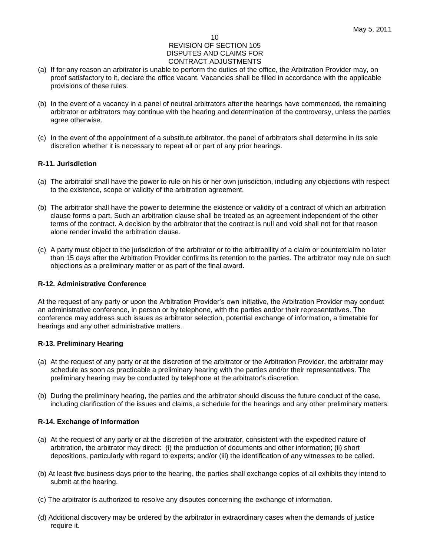- (a) If for any reason an arbitrator is unable to perform the duties of the office, the Arbitration Provider may, on proof satisfactory to it, declare the office vacant. Vacancies shall be filled in accordance with the applicable provisions of these rules.
- (b) In the event of a vacancy in a panel of neutral arbitrators after the hearings have commenced, the remaining arbitrator or arbitrators may continue with the hearing and determination of the controversy, unless the parties agree otherwise.
- (c) In the event of the appointment of a substitute arbitrator, the panel of arbitrators shall determine in its sole discretion whether it is necessary to repeat all or part of any prior hearings.

## **R-11. Jurisdiction**

- (a) The arbitrator shall have the power to rule on his or her own jurisdiction, including any objections with respect to the existence, scope or validity of the arbitration agreement.
- (b) The arbitrator shall have the power to determine the existence or validity of a contract of which an arbitration clause forms a part. Such an arbitration clause shall be treated as an agreement independent of the other terms of the contract. A decision by the arbitrator that the contract is null and void shall not for that reason alone render invalid the arbitration clause.
- (c) A party must object to the jurisdiction of the arbitrator or to the arbitrability of a claim or counterclaim no later than 15 days after the Arbitration Provider confirms its retention to the parties. The arbitrator may rule on such objections as a preliminary matter or as part of the final award.

## **R-12. Administrative Conference**

At the request of any party or upon the Arbitration Provider's own initiative, the Arbitration Provider may conduct an administrative conference, in person or by telephone, with the parties and/or their representatives. The conference may address such issues as arbitrator selection, potential exchange of information, a timetable for hearings and any other administrative matters.

## **R-13. Preliminary Hearing**

- (a) At the request of any party or at the discretion of the arbitrator or the Arbitration Provider, the arbitrator may schedule as soon as practicable a preliminary hearing with the parties and/or their representatives. The preliminary hearing may be conducted by telephone at the arbitrator's discretion.
- (b) During the preliminary hearing, the parties and the arbitrator should discuss the future conduct of the case, including clarification of the issues and claims, a schedule for the hearings and any other preliminary matters.

## **R-14. Exchange of Information**

- (a) At the request of any party or at the discretion of the arbitrator, consistent with the expedited nature of arbitration, the arbitrator may direct: (i) the production of documents and other information; (ii) short depositions, particularly with regard to experts; and/or (iii) the identification of any witnesses to be called.
- (b) At least five business days prior to the hearing, the parties shall exchange copies of all exhibits they intend to submit at the hearing.
- (c) The arbitrator is authorized to resolve any disputes concerning the exchange of information.
- (d) Additional discovery may be ordered by the arbitrator in extraordinary cases when the demands of justice require it.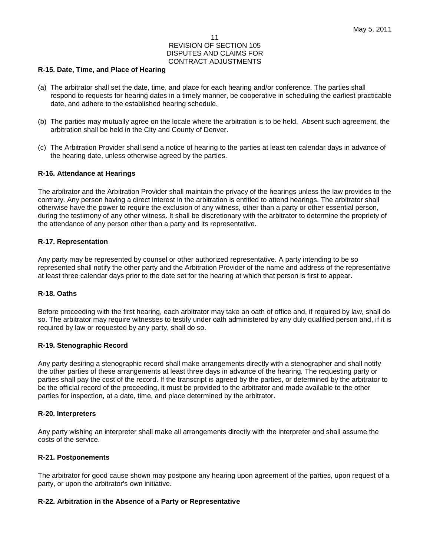#### **R-15. Date, Time, and Place of Hearing**

- (a) The arbitrator shall set the date, time, and place for each hearing and/or conference. The parties shall respond to requests for hearing dates in a timely manner, be cooperative in scheduling the earliest practicable date, and adhere to the established hearing schedule.
- (b) The parties may mutually agree on the locale where the arbitration is to be held. Absent such agreement, the arbitration shall be held in the City and County of Denver.
- (c) The Arbitration Provider shall send a notice of hearing to the parties at least ten calendar days in advance of the hearing date, unless otherwise agreed by the parties.

#### **R-16. Attendance at Hearings**

The arbitrator and the Arbitration Provider shall maintain the privacy of the hearings unless the law provides to the contrary. Any person having a direct interest in the arbitration is entitled to attend hearings. The arbitrator shall otherwise have the power to require the exclusion of any witness, other than a party or other essential person, during the testimony of any other witness. It shall be discretionary with the arbitrator to determine the propriety of the attendance of any person other than a party and its representative.

#### **R-17. Representation**

Any party may be represented by counsel or other authorized representative. A party intending to be so represented shall notify the other party and the Arbitration Provider of the name and address of the representative at least three calendar days prior to the date set for the hearing at which that person is first to appear.

#### **R-18. Oaths**

Before proceeding with the first hearing, each arbitrator may take an oath of office and, if required by law, shall do so. The arbitrator may require witnesses to testify under oath administered by any duly qualified person and, if it is required by law or requested by any party, shall do so.

#### **R-19. Stenographic Record**

Any party desiring a stenographic record shall make arrangements directly with a stenographer and shall notify the other parties of these arrangements at least three days in advance of the hearing. The requesting party or parties shall pay the cost of the record. If the transcript is agreed by the parties, or determined by the arbitrator to be the official record of the proceeding, it must be provided to the arbitrator and made available to the other parties for inspection, at a date, time, and place determined by the arbitrator.

#### **R-20. Interpreters**

Any party wishing an interpreter shall make all arrangements directly with the interpreter and shall assume the costs of the service.

#### **R-21. Postponements**

The arbitrator for good cause shown may postpone any hearing upon agreement of the parties, upon request of a party, or upon the arbitrator's own initiative.

#### **R-22. Arbitration in the Absence of a Party or Representative**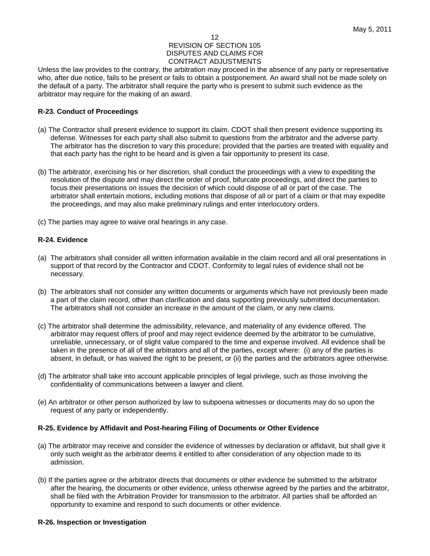Unless the law provides to the contrary, the arbitration may proceed in the absence of any party or representative who, after due notice, fails to be present or fails to obtain a postponement. An award shall not be made solely on the default of a party. The arbitrator shall require the party who is present to submit such evidence as the arbitrator may require for the making of an award.

## **R-23. Conduct of Proceedings**

- (a) The Contractor shall present evidence to support its claim. CDOT shall then present evidence supporting its defense. Witnesses for each party shall also submit to questions from the arbitrator and the adverse party. The arbitrator has the discretion to vary this procedure; provided that the parties are treated with equality and that each party has the right to be heard and is given a fair opportunity to present its case.
- (b) The arbitrator, exercising his or her discretion, shall conduct the proceedings with a view to expediting the resolution of the dispute and may direct the order of proof, bifurcate proceedings, and direct the parties to focus their presentations on issues the decision of which could dispose of all or part of the case. The arbitrator shall entertain motions, including motions that dispose of all or part of a claim or that may expedite the proceedings, and may also make preliminary rulings and enter interlocutory orders.
- (c) The parties may agree to waive oral hearings in any case.

## **R-24. Evidence**

- (a) The arbitrators shall consider all written information available in the claim record and all oral presentations in support of that record by the Contractor and CDOT. Conformity to legal rules of evidence shall not be necessary.
- (b) The arbitrators shall not consider any written documents or arguments which have not previously been made a part of the claim record, other than clarification and data supporting previously submitted documentation. The arbitrators shall not consider an increase in the amount of the claim, or any new claims.
- (c) The arbitrator shall determine the admissibility, relevance, and materiality of any evidence offered. The arbitrator may request offers of proof and may reject evidence deemed by the arbitrator to be cumulative, unreliable, unnecessary, or of slight value compared to the time and expense involved. All evidence shall be taken in the presence of all of the arbitrators and all of the parties, except where: (i) any of the parties is absent, in default, or has waived the right to be present, or (ii) the parties and the arbitrators agree otherwise.
- (d) The arbitrator shall take into account applicable principles of legal privilege, such as those involving the confidentiality of communications between a lawyer and client.
- (e) An arbitrator or other person authorized by law to subpoena witnesses or documents may do so upon the request of any party or independently.

## **R-25. Evidence by Affidavit and Post-hearing Filing of Documents or Other Evidence**

- (a) The arbitrator may receive and consider the evidence of witnesses by declaration or affidavit, but shall give it only such weight as the arbitrator deems it entitled to after consideration of any objection made to its admission.
- (b) If the parties agree or the arbitrator directs that documents or other evidence be submitted to the arbitrator after the hearing, the documents or other evidence, unless otherwise agreed by the parties and the arbitrator, shall be filed with the Arbitration Provider for transmission to the arbitrator. All parties shall be afforded an opportunity to examine and respond to such documents or other evidence.

#### **R-26. Inspection or Investigation**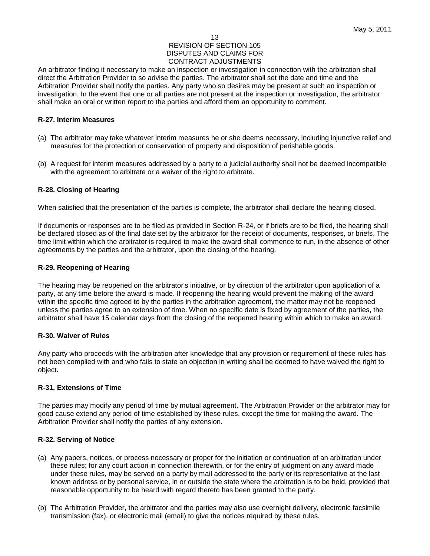An arbitrator finding it necessary to make an inspection or investigation in connection with the arbitration shall direct the Arbitration Provider to so advise the parties. The arbitrator shall set the date and time and the Arbitration Provider shall notify the parties. Any party who so desires may be present at such an inspection or investigation. In the event that one or all parties are not present at the inspection or investigation, the arbitrator shall make an oral or written report to the parties and afford them an opportunity to comment.

#### **R-27. Interim Measures**

- (a) The arbitrator may take whatever interim measures he or she deems necessary, including injunctive relief and measures for the protection or conservation of property and disposition of perishable goods.
- (b) A request for interim measures addressed by a party to a judicial authority shall not be deemed incompatible with the agreement to arbitrate or a waiver of the right to arbitrate.

## **R-28. Closing of Hearing**

When satisfied that the presentation of the parties is complete, the arbitrator shall declare the hearing closed.

If documents or responses are to be filed as provided in Section R-24, or if briefs are to be filed, the hearing shall be declared closed as of the final date set by the arbitrator for the receipt of documents, responses, or briefs. The time limit within which the arbitrator is required to make the award shall commence to run, in the absence of other agreements by the parties and the arbitrator, upon the closing of the hearing.

#### **R-29. Reopening of Hearing**

The hearing may be reopened on the arbitrator's initiative, or by direction of the arbitrator upon application of a party, at any time before the award is made. If reopening the hearing would prevent the making of the award within the specific time agreed to by the parties in the arbitration agreement, the matter may not be reopened unless the parties agree to an extension of time. When no specific date is fixed by agreement of the parties, the arbitrator shall have 15 calendar days from the closing of the reopened hearing within which to make an award.

#### **R-30. Waiver of Rules**

Any party who proceeds with the arbitration after knowledge that any provision or requirement of these rules has not been complied with and who fails to state an objection in writing shall be deemed to have waived the right to object.

#### **R-31. Extensions of Time**

The parties may modify any period of time by mutual agreement. The Arbitration Provider or the arbitrator may for good cause extend any period of time established by these rules, except the time for making the award. The Arbitration Provider shall notify the parties of any extension.

#### **R-32. Serving of Notice**

- (a) Any papers, notices, or process necessary or proper for the initiation or continuation of an arbitration under these rules; for any court action in connection therewith, or for the entry of judgment on any award made under these rules, may be served on a party by mail addressed to the party or its representative at the last known address or by personal service, in or outside the state where the arbitration is to be held, provided that reasonable opportunity to be heard with regard thereto has been granted to the party.
- (b) The Arbitration Provider, the arbitrator and the parties may also use overnight delivery, electronic facsimile transmission (fax), or electronic mail (email) to give the notices required by these rules.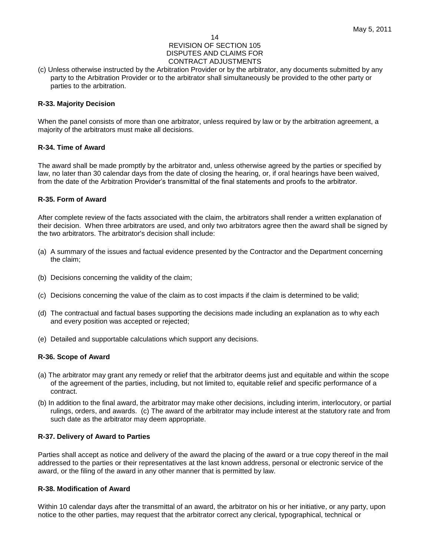(c) Unless otherwise instructed by the Arbitration Provider or by the arbitrator, any documents submitted by any party to the Arbitration Provider or to the arbitrator shall simultaneously be provided to the other party or parties to the arbitration.

## **R-33. Majority Decision**

When the panel consists of more than one arbitrator, unless required by law or by the arbitration agreement, a majority of the arbitrators must make all decisions.

## **R-34. Time of Award**

The award shall be made promptly by the arbitrator and, unless otherwise agreed by the parties or specified by law, no later than 30 calendar days from the date of closing the hearing, or, if oral hearings have been waived, from the date of the Arbitration Provider's transmittal of the final statements and proofs to the arbitrator.

## **R-35. Form of Award**

After complete review of the facts associated with the claim, the arbitrators shall render a written explanation of their decision. When three arbitrators are used, and only two arbitrators agree then the award shall be signed by the two arbitrators. The arbitrator's decision shall include:

- (a) A summary of the issues and factual evidence presented by the Contractor and the Department concerning the claim;
- (b) Decisions concerning the validity of the claim;
- (c) Decisions concerning the value of the claim as to cost impacts if the claim is determined to be valid;
- (d) The contractual and factual bases supporting the decisions made including an explanation as to why each and every position was accepted or rejected;
- (e) Detailed and supportable calculations which support any decisions.

## **R-36. Scope of Award**

- (a) The arbitrator may grant any remedy or relief that the arbitrator deems just and equitable and within the scope of the agreement of the parties, including, but not limited to, equitable relief and specific performance of a contract.
- (b) In addition to the final award, the arbitrator may make other decisions, including interim, interlocutory, or partial rulings, orders, and awards. (c) The award of the arbitrator may include interest at the statutory rate and from such date as the arbitrator may deem appropriate.

## **R-37. Delivery of Award to Parties**

Parties shall accept as notice and delivery of the award the placing of the award or a true copy thereof in the mail addressed to the parties or their representatives at the last known address, personal or electronic service of the award, or the filing of the award in any other manner that is permitted by law.

#### **R-38. Modification of Award**

Within 10 calendar days after the transmittal of an award, the arbitrator on his or her initiative, or any party, upon notice to the other parties, may request that the arbitrator correct any clerical, typographical, technical or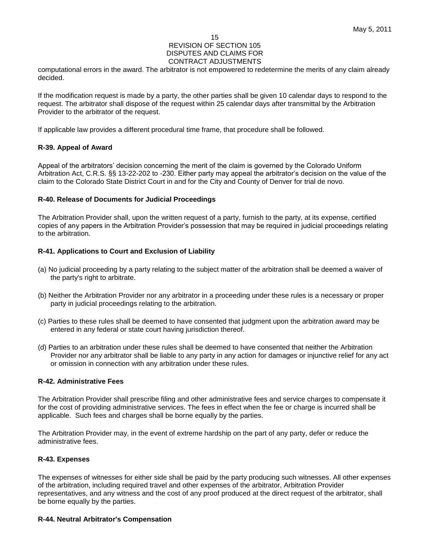#### 15

#### REVISION OF SECTION 105 DISPUTES AND CLAIMS FOR CONTRACT ADJUSTMENTS

computational errors in the award. The arbitrator is not empowered to redetermine the merits of any claim already decided.

If the modification request is made by a party, the other parties shall be given 10 calendar days to respond to the request. The arbitrator shall dispose of the request within 25 calendar days after transmittal by the Arbitration Provider to the arbitrator of the request.

If applicable law provides a different procedural time frame, that procedure shall be followed.

## **R-39. Appeal of Award**

Appeal of the arbitrators' decision concerning the merit of the claim is governed by the Colorado Uniform Arbitration Act, C.R.S. §§ 13-22-202 to -230. Either party may appeal the arbitrator's decision on the value of the claim to the Colorado State District Court in and for the City and County of Denver for trial de novo.

## **R-40. Release of Documents for Judicial Proceedings**

The Arbitration Provider shall, upon the written request of a party, furnish to the party, at its expense, certified copies of any papers in the Arbitration Provider's possession that may be required in judicial proceedings relating to the arbitration.

## **R-41. Applications to Court and Exclusion of Liability**

- (a) No judicial proceeding by a party relating to the subject matter of the arbitration shall be deemed a waiver of the party's right to arbitrate.
- (b) Neither the Arbitration Provider nor any arbitrator in a proceeding under these rules is a necessary or proper party in judicial proceedings relating to the arbitration.
- (c) Parties to these rules shall be deemed to have consented that judgment upon the arbitration award may be entered in any federal or state court having jurisdiction thereof.
- (d) Parties to an arbitration under these rules shall be deemed to have consented that neither the Arbitration Provider nor any arbitrator shall be liable to any party in any action for damages or injunctive relief for any act or omission in connection with any arbitration under these rules.

#### **R-42. Administrative Fees**

The Arbitration Provider shall prescribe filing and other administrative fees and service charges to compensate it for the cost of providing administrative services. The fees in effect when the fee or charge is incurred shall be applicable. Such fees and charges shall be borne equally by the parties.

The Arbitration Provider may, in the event of extreme hardship on the part of any party, defer or reduce the administrative fees.

## **R-43. Expenses**

The expenses of witnesses for either side shall be paid by the party producing such witnesses. All other expenses of the arbitration, including required travel and other expenses of the arbitrator, Arbitration Provider representatives, and any witness and the cost of any proof produced at the direct request of the arbitrator, shall be borne equally by the parties.

## **R-44. Neutral Arbitrator's Compensation**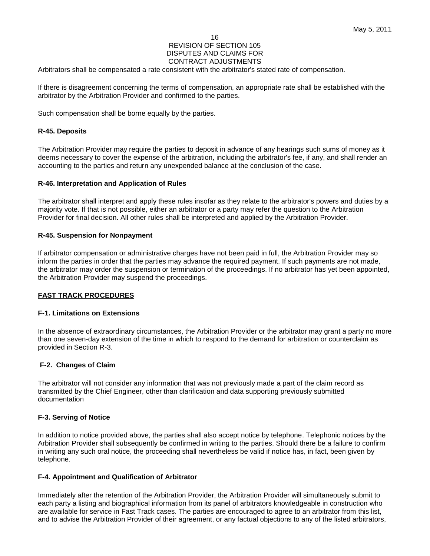16

#### REVISION OF SECTION 105 DISPUTES AND CLAIMS FOR CONTRACT ADJUSTMENTS

Arbitrators shall be compensated a rate consistent with the arbitrator's stated rate of compensation.

If there is disagreement concerning the terms of compensation, an appropriate rate shall be established with the arbitrator by the Arbitration Provider and confirmed to the parties.

Such compensation shall be borne equally by the parties.

## **R-45. Deposits**

The Arbitration Provider may require the parties to deposit in advance of any hearings such sums of money as it deems necessary to cover the expense of the arbitration, including the arbitrator's fee, if any, and shall render an accounting to the parties and return any unexpended balance at the conclusion of the case.

## **R-46. Interpretation and Application of Rules**

The arbitrator shall interpret and apply these rules insofar as they relate to the arbitrator's powers and duties by a majority vote. If that is not possible, either an arbitrator or a party may refer the question to the Arbitration Provider for final decision. All other rules shall be interpreted and applied by the Arbitration Provider.

## **R-45. Suspension for Nonpayment**

If arbitrator compensation or administrative charges have not been paid in full, the Arbitration Provider may so inform the parties in order that the parties may advance the required payment. If such payments are not made, the arbitrator may order the suspension or termination of the proceedings. If no arbitrator has yet been appointed, the Arbitration Provider may suspend the proceedings.

## **FAST TRACK PROCEDURES**

#### **F-1. Limitations on Extensions**

In the absence of extraordinary circumstances, the Arbitration Provider or the arbitrator may grant a party no more than one seven-day extension of the time in which to respond to the demand for arbitration or counterclaim as provided in Section R-3.

## **F-2. Changes of Claim**

The arbitrator will not consider any information that was not previously made a part of the claim record as transmitted by the Chief Engineer, other than clarification and data supporting previously submitted documentation

#### **F-3. Serving of Notice**

In addition to notice provided above, the parties shall also accept notice by telephone. Telephonic notices by the Arbitration Provider shall subsequently be confirmed in writing to the parties. Should there be a failure to confirm in writing any such oral notice, the proceeding shall nevertheless be valid if notice has, in fact, been given by telephone.

#### **F-4. Appointment and Qualification of Arbitrator**

Immediately after the retention of the Arbitration Provider, the Arbitration Provider will simultaneously submit to each party a listing and biographical information from its panel of arbitrators knowledgeable in construction who are available for service in Fast Track cases. The parties are encouraged to agree to an arbitrator from this list, and to advise the Arbitration Provider of their agreement, or any factual objections to any of the listed arbitrators,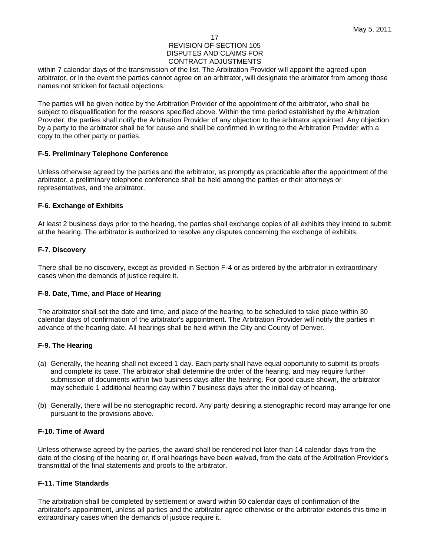within 7 calendar days of the transmission of the list. The Arbitration Provider will appoint the agreed-upon arbitrator, or in the event the parties cannot agree on an arbitrator, will designate the arbitrator from among those names not stricken for factual objections.

The parties will be given notice by the Arbitration Provider of the appointment of the arbitrator, who shall be subject to disqualification for the reasons specified above. Within the time period established by the Arbitration Provider, the parties shall notify the Arbitration Provider of any objection to the arbitrator appointed. Any objection by a party to the arbitrator shall be for cause and shall be confirmed in writing to the Arbitration Provider with a copy to the other party or parties.

## **F-5. Preliminary Telephone Conference**

Unless otherwise agreed by the parties and the arbitrator, as promptly as practicable after the appointment of the arbitrator, a preliminary telephone conference shall be held among the parties or their attorneys or representatives, and the arbitrator.

## **F-6. Exchange of Exhibits**

At least 2 business days prior to the hearing, the parties shall exchange copies of all exhibits they intend to submit at the hearing. The arbitrator is authorized to resolve any disputes concerning the exchange of exhibits.

## **F-7. Discovery**

There shall be no discovery, except as provided in Section F-4 or as ordered by the arbitrator in extraordinary cases when the demands of justice require it.

## **F-8. Date, Time, and Place of Hearing**

The arbitrator shall set the date and time, and place of the hearing, to be scheduled to take place within 30 calendar days of confirmation of the arbitrator's appointment. The Arbitration Provider will notify the parties in advance of the hearing date. All hearings shall be held within the City and County of Denver.

## **F-9. The Hearing**

- (a) Generally, the hearing shall not exceed 1 day. Each party shall have equal opportunity to submit its proofs and complete its case. The arbitrator shall determine the order of the hearing, and may require further submission of documents within two business days after the hearing. For good cause shown, the arbitrator may schedule 1 additional hearing day within 7 business days after the initial day of hearing.
- (b) Generally, there will be no stenographic record. Any party desiring a stenographic record may arrange for one pursuant to the provisions above.

## **F-10. Time of Award**

Unless otherwise agreed by the parties, the award shall be rendered not later than 14 calendar days from the date of the closing of the hearing or, if oral hearings have been waived, from the date of the Arbitration Provider's transmittal of the final statements and proofs to the arbitrator.

## **F-11. Time Standards**

The arbitration shall be completed by settlement or award within 60 calendar days of confirmation of the arbitrator's appointment, unless all parties and the arbitrator agree otherwise or the arbitrator extends this time in extraordinary cases when the demands of justice require it.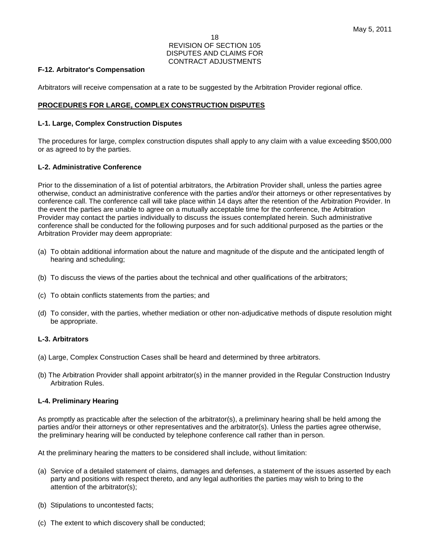## **F-12. Arbitrator's Compensation**

Arbitrators will receive compensation at a rate to be suggested by the Arbitration Provider regional office.

## **PROCEDURES FOR LARGE, COMPLEX CONSTRUCTION DISPUTES**

## **L-1. Large, Complex Construction Disputes**

The procedures for large, complex construction disputes shall apply to any claim with a value exceeding \$500,000 or as agreed to by the parties.

## **L-2. Administrative Conference**

Prior to the dissemination of a list of potential arbitrators, the Arbitration Provider shall, unless the parties agree otherwise, conduct an administrative conference with the parties and/or their attorneys or other representatives by conference call. The conference call will take place within 14 days after the retention of the Arbitration Provider. In the event the parties are unable to agree on a mutually acceptable time for the conference, the Arbitration Provider may contact the parties individually to discuss the issues contemplated herein. Such administrative conference shall be conducted for the following purposes and for such additional purposed as the parties or the Arbitration Provider may deem appropriate:

- (a) To obtain additional information about the nature and magnitude of the dispute and the anticipated length of hearing and scheduling;
- (b) To discuss the views of the parties about the technical and other qualifications of the arbitrators;
- (c) To obtain conflicts statements from the parties; and
- (d) To consider, with the parties, whether mediation or other non-adjudicative methods of dispute resolution might be appropriate.

#### **L-3. Arbitrators**

- (a) Large, Complex Construction Cases shall be heard and determined by three arbitrators.
- (b) The Arbitration Provider shall appoint arbitrator(s) in the manner provided in the Regular Construction Industry Arbitration Rules.

#### **L-4. Preliminary Hearing**

As promptly as practicable after the selection of the arbitrator(s), a preliminary hearing shall be held among the parties and/or their attorneys or other representatives and the arbitrator(s). Unless the parties agree otherwise, the preliminary hearing will be conducted by telephone conference call rather than in person.

At the preliminary hearing the matters to be considered shall include, without limitation:

- (a) Service of a detailed statement of claims, damages and defenses, a statement of the issues asserted by each party and positions with respect thereto, and any legal authorities the parties may wish to bring to the attention of the arbitrator(s);
- (b) Stipulations to uncontested facts;
- (c) The extent to which discovery shall be conducted;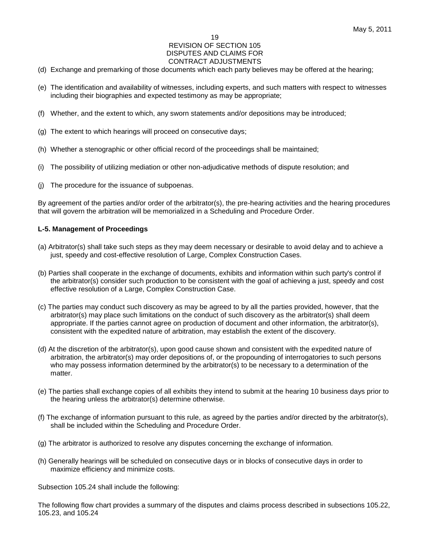#### 19

#### REVISION OF SECTION 105 DISPUTES AND CLAIMS FOR CONTRACT ADJUSTMENTS

- (d) Exchange and premarking of those documents which each party believes may be offered at the hearing;
- (e) The identification and availability of witnesses, including experts, and such matters with respect to witnesses including their biographies and expected testimony as may be appropriate;
- (f) Whether, and the extent to which, any sworn statements and/or depositions may be introduced;
- (g) The extent to which hearings will proceed on consecutive days;
- (h) Whether a stenographic or other official record of the proceedings shall be maintained;
- (i) The possibility of utilizing mediation or other non-adjudicative methods of dispute resolution; and
- (j) The procedure for the issuance of subpoenas.

By agreement of the parties and/or order of the arbitrator(s), the pre-hearing activities and the hearing procedures that will govern the arbitration will be memorialized in a Scheduling and Procedure Order.

## **L-5. Management of Proceedings**

- (a) Arbitrator(s) shall take such steps as they may deem necessary or desirable to avoid delay and to achieve a just, speedy and cost-effective resolution of Large, Complex Construction Cases.
- (b) Parties shall cooperate in the exchange of documents, exhibits and information within such party's control if the arbitrator(s) consider such production to be consistent with the goal of achieving a just, speedy and cost effective resolution of a Large, Complex Construction Case.
- (c) The parties may conduct such discovery as may be agreed to by all the parties provided, however, that the arbitrator(s) may place such limitations on the conduct of such discovery as the arbitrator(s) shall deem appropriate. If the parties cannot agree on production of document and other information, the arbitrator(s), consistent with the expedited nature of arbitration, may establish the extent of the discovery.
- (d) At the discretion of the arbitrator(s), upon good cause shown and consistent with the expedited nature of arbitration, the arbitrator(s) may order depositions of, or the propounding of interrogatories to such persons who may possess information determined by the arbitrator(s) to be necessary to a determination of the matter.
- (e) The parties shall exchange copies of all exhibits they intend to submit at the hearing 10 business days prior to the hearing unless the arbitrator(s) determine otherwise.
- (f) The exchange of information pursuant to this rule, as agreed by the parties and/or directed by the arbitrator(s), shall be included within the Scheduling and Procedure Order.
- (g) The arbitrator is authorized to resolve any disputes concerning the exchange of information.
- (h) Generally hearings will be scheduled on consecutive days or in blocks of consecutive days in order to maximize efficiency and minimize costs.

Subsection 105.24 shall include the following:

The following flow chart provides a summary of the disputes and claims process described in subsections 105.22, 105.23, and 105.24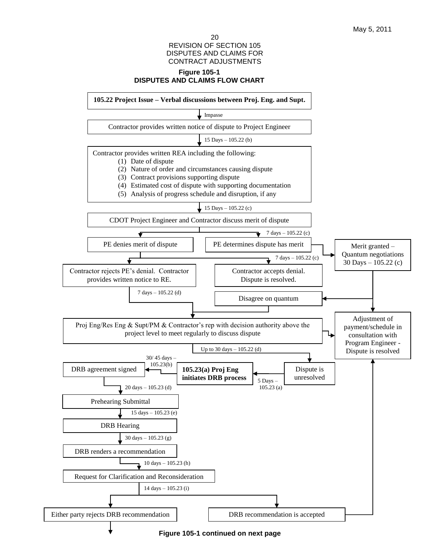## **Figure 105-1 DISPUTES AND CLAIMS FLOW CHART**